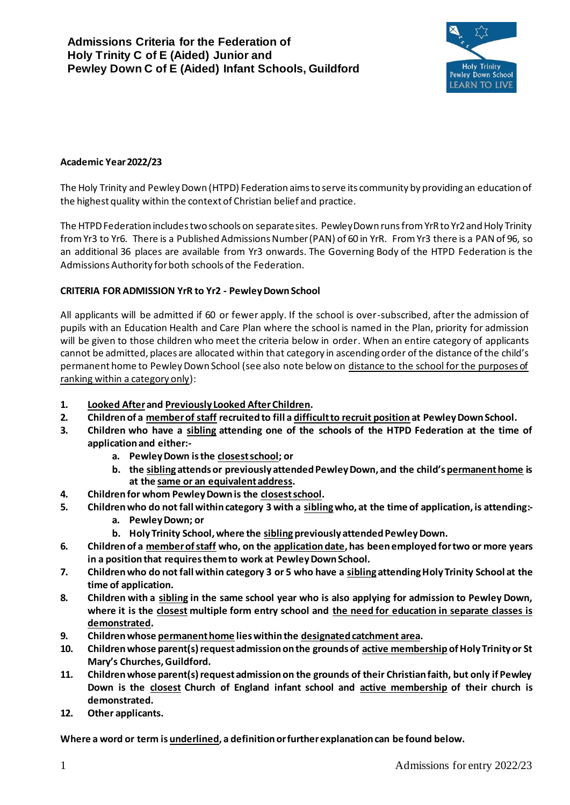

## **Academic Year 2022/23**

The Holy Trinity and Pewley Down (HTPD) Federation aims to serve its community by providing an education of the highest quality within the context of Christian belief and practice.

The HTPD Federation includes two schools on separate sites. Pewley Down runs from YrR to Yr2 and Holy Trinity from Yr3 to Yr6. There is a Published Admissions Number (PAN) of 60 in YrR. From Yr3 there is a PAN of 96, so an additional 36 places are available from Yr3 onwards. The Governing Body of the HTPD Federation is the Admissions Authority for both schools of the Federation.

#### **CRITERIA FOR ADMISSION YrR to Yr2 - Pewley Down School**

All applicants will be admitted if 60 or fewer apply. If the school is over-subscribed, after the admission of pupils with an Education Health and Care Plan where the school is named in the Plan, priority for admission will be given to those children who meet the criteria below in order. When an entire category of applicants cannot be admitted, places are allocated within that category in ascending order of the distance of the child's permanent home to Pewley Down School (see also note below on distance to the school for the purposes of ranking within a category only):

- **1. Looked Afterand Previously Looked After Children.**
- **2. Children of a member of staff recruited to fill a difficult to recruit position at Pewley Down School.**
- **3. Children who have a sibling attending one of the schools of the HTPD Federation at the time of application and either:**
	- **a. Pewley Down is the closest school; or**
	- **b. the sibling attends or previously attended Pewley Down, and the child's permanent home is at the same or an equivalent address.**
- **4. Children for whom Pewley Down is the closest school.**
- **5. Children who do not fall within category 3 with a siblingwho, at the time of application, is attending:**
	- **a. Pewley Down; or**
	- **b.** Holy Trinity School, where the sibling previously attended Pewley Down.
- **6. Children of a member of staff who, on the application date, has been employed for two or more years in a position that requires them to work at Pewley Down School.**
- **7. Children who do not fall within category 3 or 5 who have a sibling attending Holy Trinity School at the time of application.**
- **8. Children with a sibling in the same school year who is also applying for admission to Pewley Down, where it is the closest multiple form entry school and the need for education in separate classes is demonstrated.**
- **9. Children whose permanent home lies within the designated catchment area.**
- **10. Children whose parent(s) request admission on the grounds of active membership of Holy Trinity or St Mary's Churches, Guildford.**
- **11. Children whose parent(s) request admission on the grounds of their Christian faith, but only if Pewley Down is the closest Church of England infant school and active membership of their church is demonstrated.**
- **12. Other applicants.**

**Where a word or term is underlined, a definition or further explanation can be found below.**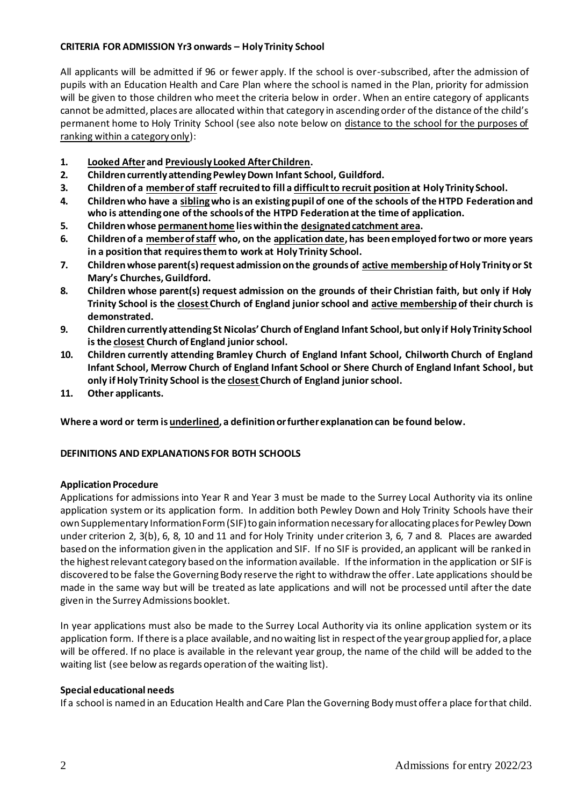## **CRITERIA FOR ADMISSION Yr3 onwards – Holy Trinity School**

All applicants will be admitted if 96 or fewer apply. If the school is over-subscribed, after the admission of pupils with an Education Health and Care Plan where the school is named in the Plan, priority for admission will be given to those children who meet the criteria below in order. When an entire category of applicants cannot be admitted, places are allocated within that category in ascending order of the distance of the child's permanent home to Holy Trinity School (see also note below on distance to the school for the purposes of ranking within a category only):

- **1. Looked Afterand Previously Looked After Children.**
- **2. Children currently attending Pewley Down Infant School, Guildford.**
- **3. Children of a member of staff recruited to fill a difficult to recruit position at Holy Trinity School.**
- **4. Children who have a siblingwho is an existing pupil of one of the schools of the HTPD Federation and who is attending one of the schools of the HTPD Federation at the time of application.**
- **5. Children whose permanent home lies within the designated catchment area.**
- **6. Children of a member of staff who, on the application date, has been employed for two or more years in a position that requires them to work at Holy Trinity School.**
- **7. Children whose parent(s) request admission on the grounds of active membership of Holy Trinity or St Mary's Churches, Guildford.**
- **8. Children whose parent(s) request admission on the grounds of their Christian faith, but only if Holy Trinity School is the closest Church of England junior school and active membership of their church is demonstrated.**
- **9. Children currently attending St Nicolas' Church of England Infant School, but only if Holy Trinity School is the closest Church of England junior school.**
- **10. Children currently attending Bramley Church of England Infant School, Chilworth Church of England Infant School, Merrow Church of England Infant School or Shere Church of England Infant School, but only if Holy Trinity School is the closestChurch of England juniorschool.**
- **11. Other applicants.**

**Where a word or term is underlined, a definition or further explanation can be found below.**

### **DEFINITIONS AND EXPLANATIONS FOR BOTH SCHOOLS**

### **Application Procedure**

Applications for admissions into Year R and Year 3 must be made to the Surrey Local Authority via its online application system or its application form. In addition both Pewley Down and Holy Trinity Schools have their own Supplementary Information Form (SIF) to gain information necessary for allocating places for Pewley Down under criterion 2, 3(b), 6, 8, 10 and 11 and for Holy Trinity under criterion 3, 6, 7 and 8. Places are awarded based on the information given in the application and SIF. If no SIF is provided, an applicant will be ranked in the highest relevant category based on the information available. If the information in the application or SIF is discovered to be false the Governing Body reserve the right to withdraw the offer. Late applications should be made in the same way but will be treated as late applications and will not be processed until after the date given in the Surrey Admissions booklet.

In year applications must also be made to the Surrey Local Authority via its online application system or its application form. If there is a place available, and no waiting list in respect of the year group applied for, a place will be offered. If no place is available in the relevant year group, the name of the child will be added to the waiting list (see below as regards operation of the waiting list).

#### **Special educational needs**

If a school is named in an Education Health and Care Plan the Governing Body must offer a place for that child.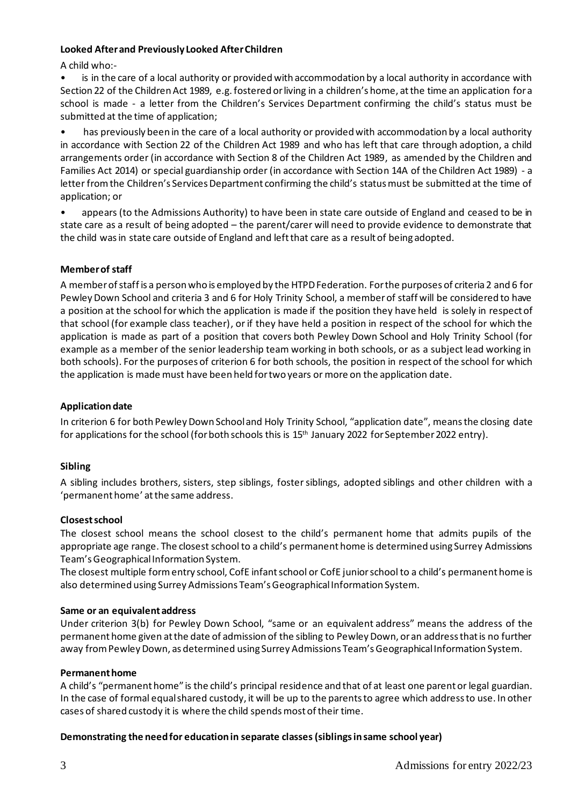#### **Looked After and Previously Looked After Children**

A child who:-

is in the care of a local authority or provided with accommodation by a local authority in accordance with Section 22 of the Children Act 1989, e.g. fostered or living in a children's home, at the time an application for a school is made - a letter from the Children's Services Department confirming the child's status must be submitted at the time of application;

• has previously been in the care of a local authority or provided with accommodation by a local authority in accordance with Section 22 of the Children Act 1989 and who has left that care through adoption, a child arrangements order (in accordance with Section 8 of the Children Act 1989, as amended by the Children and Families Act 2014) or special guardianship order (in accordance with Section 14A of the Children Act 1989) - a letter from the Children's Services Department confirming the child's status must be submitted at the time of application; or

• appears (to the Admissions Authority) to have been in state care outside of England and ceased to be in state care as a result of being adopted – the parent/carer will need to provide evidence to demonstrate that the child was in state care outside of England and left that care as a result of being adopted.

# **Member of staff**

A member of staff is a person who is employed by the HTPD Federation. For the purposes of criteria 2 and 6 for Pewley Down School and criteria 3 and 6 for Holy Trinity School, a member of staff will be considered to have a position at the school for which the application is made if the position they have held is solely in respect of that school (for example class teacher), or if they have held a position in respect of the school for which the application is made as part of a position that covers both Pewley Down School and Holy Trinity School (for example as a member of the senior leadership team working in both schools, or as a subject lead working in both schools). For the purposes of criterion 6 for both schools, the position in respect of the school for which the application is made must have been held for two years or more on the application date.

### **Application date**

In criterion 6 for both Pewley Down School and Holy Trinity School, "application date", means the closing date for applications for the school (for both schools this is 15<sup>th</sup> January 2022 for September 2022 entry).

### **Sibling**

A sibling includes brothers, sisters, step siblings, foster siblings, adopted siblings and other children with a 'permanent home' at the same address.

### **Closest school**

The closest school means the school closest to the child's permanent home that admits pupils of the appropriate age range. The closest school to a child's permanent home is determined using Surrey Admissions Team's Geographical Information System.

The closest multiple form entry school, CofE infant school or CofE junior school to a child's permanent home is also determined using Surrey Admissions Team's Geographical Information System.

### **Same or an equivalent address**

Under criterion 3(b) for Pewley Down School, "same or an equivalent address" means the address of the permanent home given at the date of admission of the sibling to Pewley Down, or an address that is no further away from Pewley Down, as determined using Surrey Admissions Team's Geographical Information System.

### **Permanent home**

A child's "permanent home" is the child's principal residence and that of at least one parent or legal guardian. In the case of formal equal shared custody, it will be up to the parents to agree which address to use. In other cases of shared custody it is where the child spends most of their time.

### **Demonstrating the need for education in separate classes(siblings in same school year)**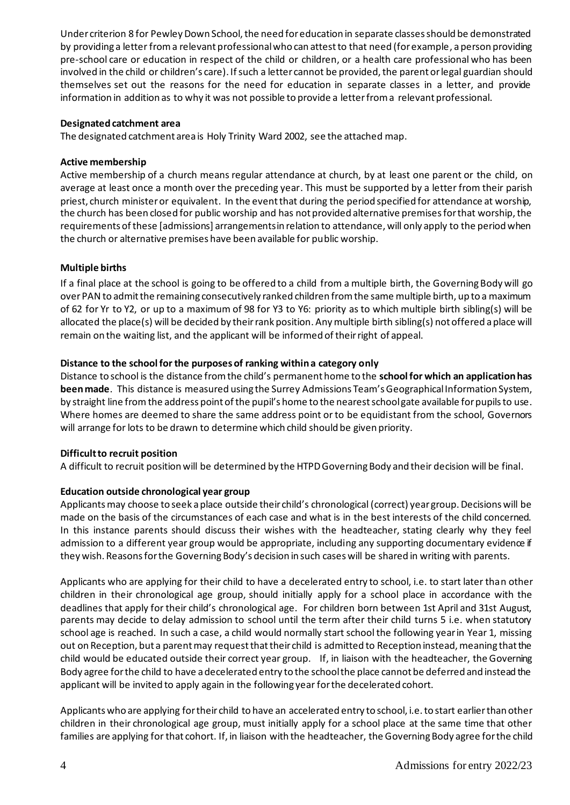Under criterion 8 for Pewley Down School, the need for education in separate classes should be demonstrated by providing a letter from a relevant professionalwho can attest to that need (for example, a person providing pre-school care or education in respect of the child or children, or a health care professional who has been involved in the child or children's care). If such a letter cannot be provided, the parent or legal guardian should themselves set out the reasons for the need for education in separate classes in a letter, and provide information in addition as to why it was not possible to provide a letter from a relevant professional.

#### **Designated catchment area**

The designated catchment area is Holy Trinity Ward 2002, see the attached map.

#### **Active membership**

Active membership of a church means regular attendance at church, by at least one parent or the child, on average at least once a month over the preceding year. This must be supported by a letter from their parish priest, church minister or equivalent. In the event that during the period specified for attendance at worship, the church has been closed for public worship and has not provided alternative premises for that worship, the requirements of these [admissions] arrangements in relation to attendance, will only apply to the period when the church or alternative premises have been available for public worship.

### **Multiple births**

If a final place at the school is going to be offered to a child from a multiple birth, the Governing Body will go over PAN to admit the remaining consecutively ranked children from the same multiple birth, up to a maximum of 62 for Yr to Y2, or up to a maximum of 98 for Y3 to Y6: priority as to which multiple birth sibling(s) will be allocated the place(s) will be decided by their rank position. Any multiple birth sibling(s) not offered a place will remain on the waiting list, and the applicant will be informed of their right of appeal.

### **Distance to the school for the purposes of ranking within a category only**

Distance to school is the distance from the child's permanent home to the **school for which an application has been made**. This distance is measured using the Surrey Admissions Team's Geographical Information System, by straight line from the address point of the pupil's home to the nearest school gate available for pupils to use. Where homes are deemed to share the same address point or to be equidistant from the school, Governors will arrange for lots to be drawn to determine which child should be given priority.

### **Difficult to recruit position**

A difficult to recruit position will be determined by the HTPDGoverning Body and their decision will be final.

### **Education outside chronological year group**

Applicants may choose to seek a place outside their child's chronological (correct) year group. Decisions will be made on the basis of the circumstances of each case and what is in the best interests of the child concerned. In this instance parents should discuss their wishes with the headteacher, stating clearly why they feel admission to a different year group would be appropriate, including any supporting documentary evidence if they wish. Reasons for the Governing Body's decision in such cases will be shared in writing with parents.

Applicants who are applying for their child to have a decelerated entry to school, i.e. to start later than other children in their chronological age group, should initially apply for a school place in accordance with the deadlines that apply for their child's chronological age. For children born between 1st April and 31st August, parents may decide to delay admission to school until the term after their child turns 5 i.e. when statutory school age is reached. In such a case, a child would normally start school the following year in Year 1, missing out on Reception, but a parent may request that their child is admitted to Reception instead, meaning that the child would be educated outside their correct year group. If, in liaison with the headteacher, the Governing Body agree for the child to have a decelerated entry to the school the place cannot be deferred and instead the applicant will be invited to apply again in the following year for the decelerated cohort.

Applicants who are applying for their child to have an accelerated entry to school, i.e. to start earlier than other children in their chronological age group, must initially apply for a school place at the same time that other families are applying for that cohort. If, in liaison with the headteacher, the Governing Body agree for the child